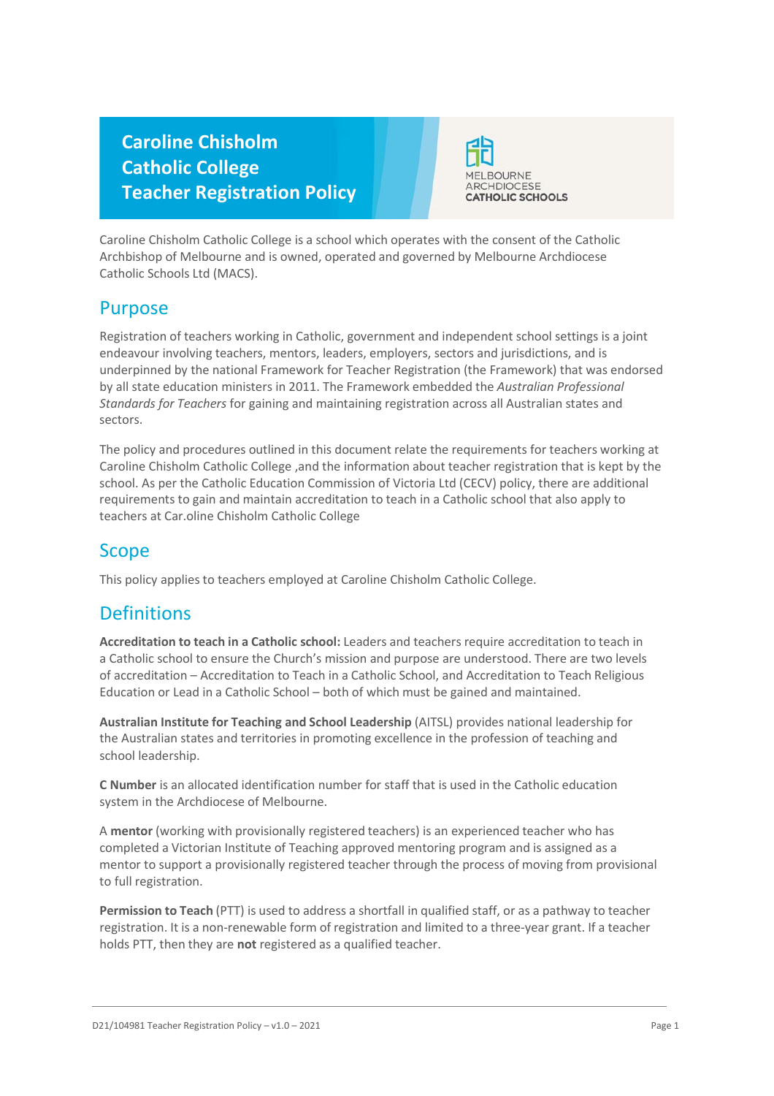# **Caroline Chisholm Catholic College Teacher Registration Policy**



Caroline Chisholm Catholic College is a school which operates with the consent of the Catholic Archbishop of Melbourne and is owned, operated and governed by Melbourne Archdiocese Catholic Schools Ltd (MACS).

## Purpose

Registration of teachers working in Catholic, government and independent school settings is a joint endeavour involving teachers, mentors, leaders, employers, sectors and jurisdictions, and is underpinned by the national Framework for Teacher Registration (the Framework) that was endorsed by all state education ministers in 2011. The Framework embedded the *Australian Professional Standards for Teachers* for gaining and maintaining registration across all Australian states and sectors.

The policy and procedures outlined in this document relate the requirements for teachers working at Caroline Chisholm Catholic College ,and the information about teacher registration that is kept by the school. As per the Catholic Education Commission of Victoria Ltd (CECV) policy, there are additional requirements to gain and maintain accreditation to teach in a Catholic school that also apply to teachers at Car.oline Chisholm Catholic College

## Scope

This policy applies to teachers employed at Caroline Chisholm Catholic College.

## **Definitions**

**Accreditation to teach in a Catholic school:** Leaders and teachers require accreditation to teach in a Catholic school to ensure the Church's mission and purpose are understood. There are two levels of accreditation – Accreditation to Teach in a Catholic School, and Accreditation to Teach Religious Education or Lead in a Catholic School – both of which must be gained and maintained.

**Australian Institute for Teaching and School Leadership** (AITSL) provides national leadership for the Australian states and territories in promoting excellence in the profession of teaching and school leadership.

**C Number** is an allocated identification number for staff that is used in the Catholic education system in the Archdiocese of Melbourne.

A **mentor** (working with provisionally registered teachers) is an experienced teacher who has completed a Victorian Institute of Teaching approved mentoring program and is assigned as a mentor to support a provisionally registered teacher through the process of moving from provisional to full registration.

**Permission to Teach** (PTT) is used to address a shortfall in qualified staff, or as a pathway to teacher registration. It is a non-renewable form of registration and limited to a three-year grant. If a teacher holds PTT, then they are **not** registered as a qualified teacher.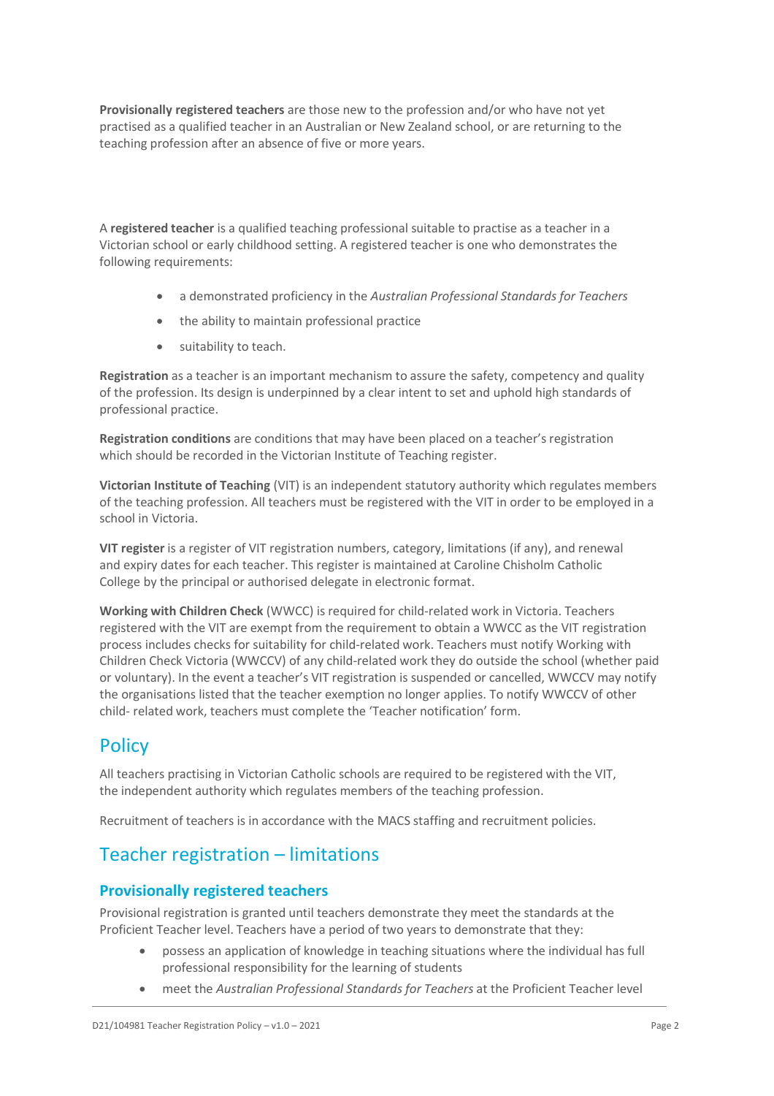**Provisionally registered teachers** are those new to the profession and/or who have not yet practised as a qualified teacher in an Australian or New Zealand school, or are returning to the teaching profession after an absence of five or more years.

A **registered teacher** is a qualified teaching professional suitable to practise as a teacher in a Victorian school or early childhood setting. A registered teacher is one who demonstrates the following requirements:

- a demonstrated proficiency in the *Australian Professional Standards for Teachers*
- the ability to maintain professional practice
- suitability to teach.

**Registration** as a teacher is an important mechanism to assure the safety, competency and quality of the profession. Its design is underpinned by a clear intent to set and uphold high standards of professional practice.

**Registration conditions** are conditions that may have been placed on a teacher's registration which should be recorded in the Victorian Institute of Teaching register.

**Victorian Institute of Teaching** (VIT) is an independent statutory authority which regulates members of the teaching profession. All teachers must be registered with the VIT in order to be employed in a school in Victoria.

**VIT register** is a register of VIT registration numbers, category, limitations (if any), and renewal and expiry dates for each teacher. This register is maintained at Caroline Chisholm Catholic College by the principal or authorised delegate in electronic format.

**Working with Children Check** (WWCC) is required for child-related work in Victoria. Teachers registered with the VIT are exempt from the requirement to obtain a WWCC as the VIT registration process includes checks for suitability for child-related work. Teachers must notify Working with Children Check Victoria (WWCCV) of any child-related work they do outside the school (whether paid or voluntary). In the event a teacher's VIT registration is suspended or cancelled, WWCCV may notify the organisations listed that the teacher exemption no longer applies. To notify WWCCV of other child- related work, teachers must complete the 'Teacher notification' form.

## **Policy**

All teachers practising in Victorian Catholic schools are required to be registered with the VIT, the independent authority which regulates members of the teaching profession.

Recruitment of teachers is in accordance with the MACS staffing and recruitment policies.

# Teacher registration – limitations

#### **Provisionally registered teachers**

Provisional registration is granted until teachers demonstrate they meet the standards at the Proficient Teacher level. Teachers have a period of two years to demonstrate that they:

- possess an application of knowledge in teaching situations where the individual has full professional responsibility for the learning of students
- meet the *Australian Professional Standards for Teachers* at the Proficient Teacher level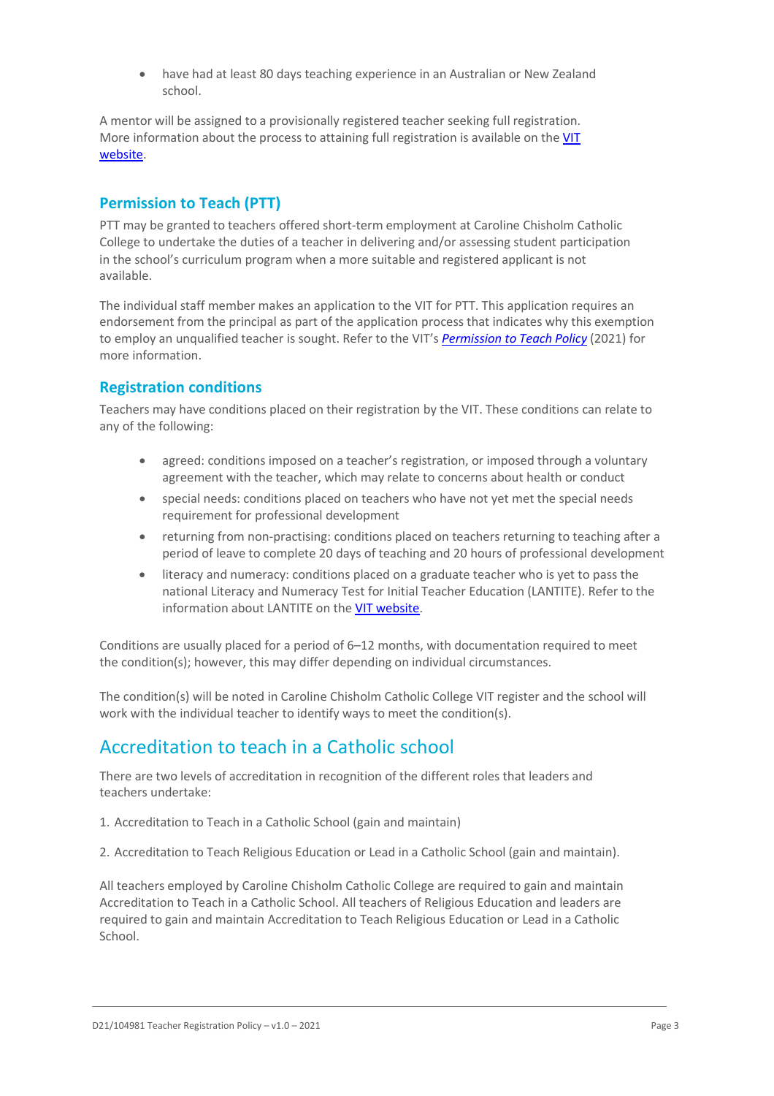• have had at least 80 days teaching experience in an Australian or New Zealand school.

A mentor will be assigned to a provisionally registered teacher seeking full registration. More information about the process to attaining full registration is available on the [VIT](https://www.vit.vic.edu.au/registered-teacher/moving-to-full-registration) [website.](https://www.vit.vic.edu.au/registered-teacher/moving-to-full-registration)

### **Permission to Teach (PTT)**

PTT may be granted to teachers offered short-term employment at Caroline Chisholm Catholic College to undertake the duties of a teacher in delivering and/or assessing student participation in the school's curriculum program when a more suitable and registered applicant is not available.

The individual staff member makes an application to the VIT for PTT. This application requires an endorsement from the principal as part of the application process that indicates why this exemption to employ an unqualified teacher is sought. Refer to the VIT's *[Permission](https://www.vit.vic.edu.au/sites/default/files/media/pdf/2022-04/Policy_VIT_PTT.pdf) to Teach Policy* (2021) for more information.

#### **Registration conditions**

Teachers may have conditions placed on their registration by the VIT. These conditions can relate to any of the following:

- agreed: conditions imposed on a teacher's registration, or imposed through a voluntary agreement with the teacher, which may relate to concerns about health or conduct
- special needs: conditions placed on teachers who have not yet met the special needs requirement for professional development
- returning from non-practising: conditions placed on teachers returning to teaching after a period of leave to complete 20 days of teaching and 20 hours of professional development
- literacy and numeracy: conditions placed on a graduate teacher who is yet to pass the national Literacy and Numeracy Test for Initial Teacher Education (LANTITE). Refer to the information about LANTITE on the VIT [website.](https://www.vit.vic.edu.au/contact-us/faqs/LANTITE)

Conditions are usually placed for a period of 6–12 months, with documentation required to meet the condition(s); however, this may differ depending on individual circumstances.

The condition(s) will be noted in Caroline Chisholm Catholic College VIT register and the school will work with the individual teacher to identify ways to meet the condition(s).

## Accreditation to teach in a Catholic school

There are two levels of accreditation in recognition of the different roles that leaders and teachers undertake:

- 1. Accreditation to Teach in a Catholic School (gain and maintain)
- 2. Accreditation to Teach Religious Education or Lead in a Catholic School (gain and maintain).

All teachers employed by Caroline Chisholm Catholic College are required to gain and maintain Accreditation to Teach in a Catholic School. All teachers of Religious Education and leaders are required to gain and maintain Accreditation to Teach Religious Education or Lead in a Catholic School.